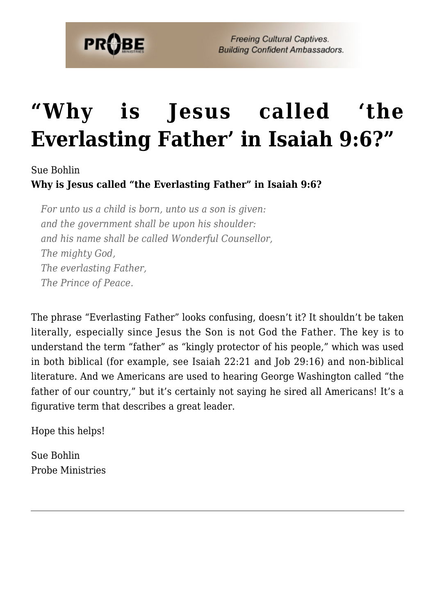

# **["Why is Jesus called 'the](https://probe.org/why-is-jesus-called-the-everlasting-father-in-isaiah-96/) [Everlasting Father' in Isaiah 9:6?"](https://probe.org/why-is-jesus-called-the-everlasting-father-in-isaiah-96/)**

#### Sue Bohlin

**Why is Jesus called "the Everlasting Father" in Isaiah 9:6?**

*For unto us a child is born, unto us a son is given: and the government shall be upon his shoulder: and his name shall be called Wonderful Counsellor, The mighty God, The everlasting Father, The Prince of Peace.*

The phrase "Everlasting Father" looks confusing, doesn't it? It shouldn't be taken literally, especially since Jesus the Son is not God the Father. The key is to understand the term "father" as "kingly protector of his people," which was used in both biblical (for example, see Isaiah 22:21 and Job 29:16) and non-biblical literature. And we Americans are used to hearing George Washington called "the father of our country," but it's certainly not saying he sired all Americans! It's a figurative term that describes a great leader.

Hope this helps!

Sue Bohlin Probe Ministries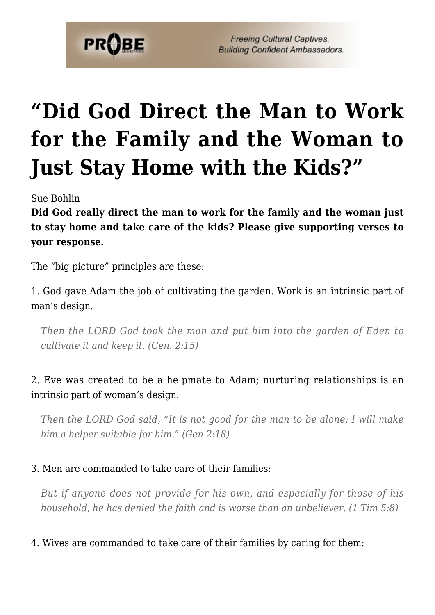

# **["Did God Direct the Man to Work](https://probe.org/did-god-direct-the-man-to-work-for-the-family-and-the-woman-to-just-stay-home-with-the-kids/) [for the Family and the Woman to](https://probe.org/did-god-direct-the-man-to-work-for-the-family-and-the-woman-to-just-stay-home-with-the-kids/) [Just Stay Home with the Kids?"](https://probe.org/did-god-direct-the-man-to-work-for-the-family-and-the-woman-to-just-stay-home-with-the-kids/)**

Sue Bohlin

**Did God really direct the man to work for the family and the woman just to stay home and take care of the kids? Please give supporting verses to your response.**

The "big picture" principles are these:

1. God gave Adam the job of cultivating the garden. Work is an intrinsic part of man's design.

*Then the LORD God took the man and put him into the garden of Eden to cultivate it and keep it. (Gen. 2:15)*

#### 2. Eve was created to be a helpmate to Adam; nurturing relationships is an intrinsic part of woman's design.

*Then the LORD God said, "It is not good for the man to be alone; I will make him a helper suitable for him." (Gen 2:18)*

#### 3. Men are commanded to take care of their families:

*But if anyone does not provide for his own, and especially for those of his household, he has denied the faith and is worse than an unbeliever. (1 Tim 5:8)*

#### 4. Wives are commanded to take care of their families by caring for them: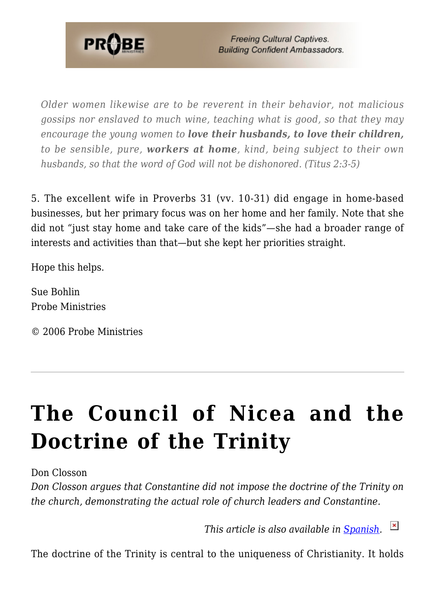

*Older women likewise are to be reverent in their behavior, not malicious gossips nor enslaved to much wine, teaching what is good, so that they may encourage the young women to love their husbands, to love their children, to be sensible, pure, workers at home, kind, being subject to their own husbands, so that the word of God will not be dishonored. (Titus 2:3-5)*

5. The excellent wife in Proverbs 31 (vv. 10-31) did engage in home-based businesses, but her primary focus was on her home and her family. Note that she did not "just stay home and take care of the kids"—she had a broader range of interests and activities than that—but she kept her priorities straight.

Hope this helps.

Sue Bohlin Probe Ministries

© 2006 Probe Ministries

## **[The Council of Nicea and the](https://probe.org/the-council-of-nicea/) [Doctrine of the Trinity](https://probe.org/the-council-of-nicea/)**

Don Closson

*Don Closson argues that Constantine did not impose the doctrine of the Trinity on the church, demonstrating the actual role of church leaders and Constantine.*

*This article is also available in [Spanish.](http://www.ministeriosprobe.org/docs/nicea-esp.html)* 

The doctrine of the Trinity is central to the uniqueness of Christianity. It holds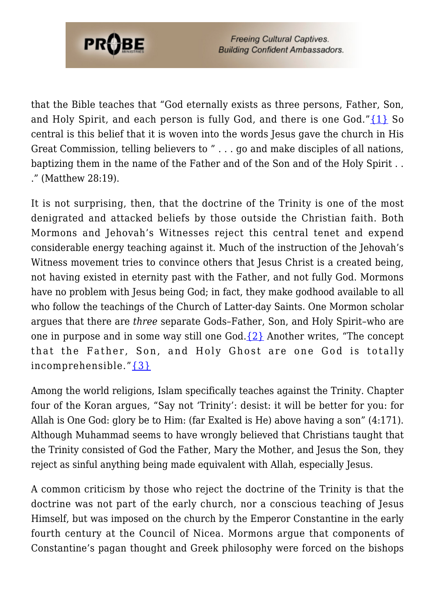

that the Bible teaches that "God eternally exists as three persons, Father, Son, and Holy Spirit, and each person is fully God, and there is one God." $\{1\}$  So central is this belief that it is woven into the words Jesus gave the church in His Great Commission, telling believers to " . . . go and make disciples of all nations, baptizing them in the name of the Father and of the Son and of the Holy Spirit . . ." (Matthew 28:19).

It is not surprising, then, that the doctrine of the Trinity is one of the most denigrated and attacked beliefs by those outside the Christian faith. Both Mormons and Jehovah's Witnesses reject this central tenet and expend considerable energy teaching against it. Much of the instruction of the Jehovah's Witness movement tries to convince others that Jesus Christ is a created being, not having existed in eternity past with the Father, and not fully God. Mormons have no problem with Jesus being God; in fact, they make godhood available to all who follow the teachings of the Church of Latter-day Saints. One Mormon scholar argues that there are *three* separate Gods–Father, Son, and Holy Spirit–who are one in purpose and in some way still one  $God.{}_{2}$  $God.{}_{2}$ } Another writes, "The concept that the Father, Son, and Holy Ghost are one God is totally incomprehensible."[{3}](#page--1-0)

Among the world religions, Islam specifically teaches against the Trinity. Chapter four of the Koran argues, "Say not 'Trinity': desist: it will be better for you: for Allah is One God: glory be to Him: (far Exalted is He) above having a son" (4:171). Although Muhammad seems to have wrongly believed that Christians taught that the Trinity consisted of God the Father, Mary the Mother, and Jesus the Son, they reject as sinful anything being made equivalent with Allah, especially Jesus.

A common criticism by those who reject the doctrine of the Trinity is that the doctrine was not part of the early church, nor a conscious teaching of Jesus Himself, but was imposed on the church by the Emperor Constantine in the early fourth century at the Council of Nicea. Mormons argue that components of Constantine's pagan thought and Greek philosophy were forced on the bishops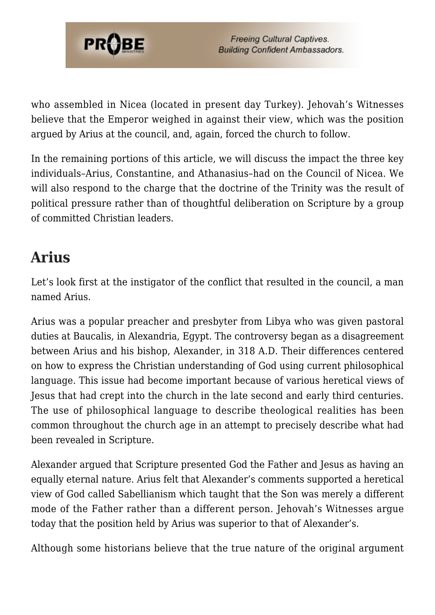

who assembled in Nicea (located in present day Turkey). Jehovah's Witnesses believe that the Emperor weighed in against their view, which was the position argued by Arius at the council, and, again, forced the church to follow.

In the remaining portions of this article, we will discuss the impact the three key individuals–Arius, Constantine, and Athanasius–had on the Council of Nicea. We will also respond to the charge that the doctrine of the Trinity was the result of political pressure rather than of thoughtful deliberation on Scripture by a group of committed Christian leaders.

## **Arius**

Let's look first at the instigator of the conflict that resulted in the council, a man named Arius.

Arius was a popular preacher and presbyter from Libya who was given pastoral duties at Baucalis, in Alexandria, Egypt. The controversy began as a disagreement between Arius and his bishop, Alexander, in 318 A.D. Their differences centered on how to express the Christian understanding of God using current philosophical language. This issue had become important because of various heretical views of Jesus that had crept into the church in the late second and early third centuries. The use of philosophical language to describe theological realities has been common throughout the church age in an attempt to precisely describe what had been revealed in Scripture.

Alexander argued that Scripture presented God the Father and Jesus as having an equally eternal nature. Arius felt that Alexander's comments supported a heretical view of God called Sabellianism which taught that the Son was merely a different mode of the Father rather than a different person. Jehovah's Witnesses argue today that the position held by Arius was superior to that of Alexander's.

Although some historians believe that the true nature of the original argument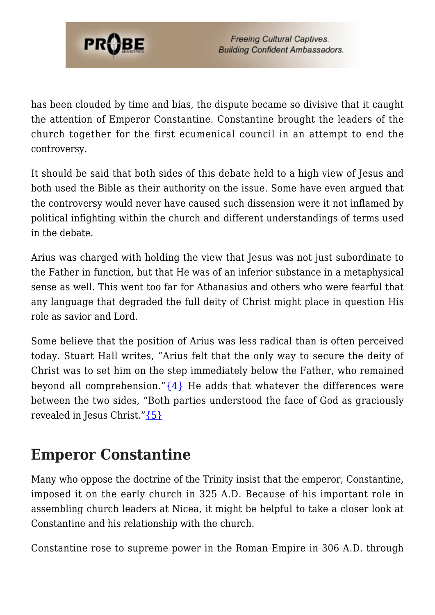

has been clouded by time and bias, the dispute became so divisive that it caught the attention of Emperor Constantine. Constantine brought the leaders of the church together for the first ecumenical council in an attempt to end the controversy.

It should be said that both sides of this debate held to a high view of Jesus and both used the Bible as their authority on the issue. Some have even argued that the controversy would never have caused such dissension were it not inflamed by political infighting within the church and different understandings of terms used in the debate.

Arius was charged with holding the view that Jesus was not just subordinate to the Father in function, but that He was of an inferior substance in a metaphysical sense as well. This went too far for Athanasius and others who were fearful that any language that degraded the full deity of Christ might place in question His role as savior and Lord.

Some believe that the position of Arius was less radical than is often perceived today. Stuart Hall writes, "Arius felt that the only way to secure the deity of Christ was to set him on the step immediately below the Father, who remained beyond all comprehension." $\{4\}$  He adds that whatever the differences were between the two sides, "Both parties understood the face of God as graciously revealed in Jesus Christ.["{5}](#page--1-0)

### **Emperor Constantine**

Many who oppose the doctrine of the Trinity insist that the emperor, Constantine, imposed it on the early church in 325 A.D. Because of his important role in assembling church leaders at Nicea, it might be helpful to take a closer look at Constantine and his relationship with the church.

Constantine rose to supreme power in the Roman Empire in 306 A.D. through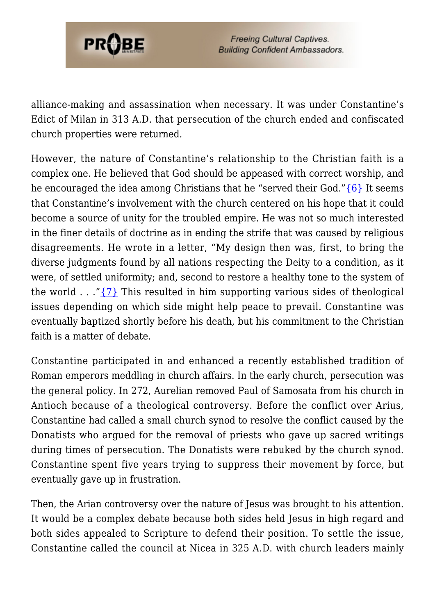

alliance-making and assassination when necessary. It was under Constantine's Edict of Milan in 313 A.D. that persecution of the church ended and confiscated church properties were returned.

However, the nature of Constantine's relationship to the Christian faith is a complex one. He believed that God should be appeased with correct worship, and he encouraged the idea among Christians that he "served their God." $\{6\}$  It seems that Constantine's involvement with the church centered on his hope that it could become a source of unity for the troubled empire. He was not so much interested in the finer details of doctrine as in ending the strife that was caused by religious disagreements. He wrote in a letter, "My design then was, first, to bring the diverse judgments found by all nations respecting the Deity to a condition, as it were, of settled uniformity; and, second to restore a healthy tone to the system of the world . . ."[{7}](#page--1-0) This resulted in him supporting various sides of theological issues depending on which side might help peace to prevail. Constantine was eventually baptized shortly before his death, but his commitment to the Christian faith is a matter of debate.

Constantine participated in and enhanced a recently established tradition of Roman emperors meddling in church affairs. In the early church, persecution was the general policy. In 272, Aurelian removed Paul of Samosata from his church in Antioch because of a theological controversy. Before the conflict over Arius, Constantine had called a small church synod to resolve the conflict caused by the Donatists who argued for the removal of priests who gave up sacred writings during times of persecution. The Donatists were rebuked by the church synod. Constantine spent five years trying to suppress their movement by force, but eventually gave up in frustration.

Then, the Arian controversy over the nature of Jesus was brought to his attention. It would be a complex debate because both sides held Jesus in high regard and both sides appealed to Scripture to defend their position. To settle the issue, Constantine called the council at Nicea in 325 A.D. with church leaders mainly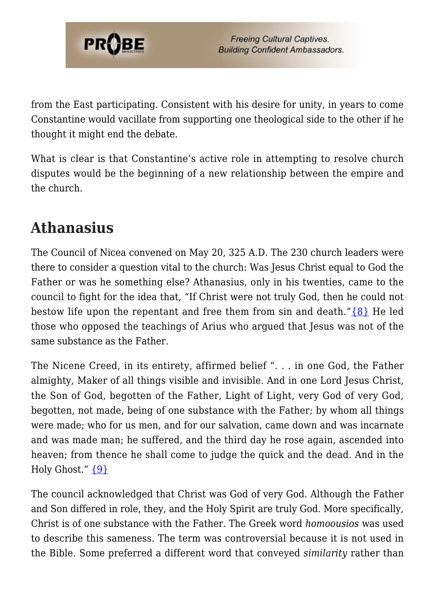

from the East participating. Consistent with his desire for unity, in years to come Constantine would vacillate from supporting one theological side to the other if he thought it might end the debate.

What is clear is that Constantine's active role in attempting to resolve church disputes would be the beginning of a new relationship between the empire and the church.

## **Athanasius**

The Council of Nicea convened on May 20, 325 A.D. The 230 church leaders were there to consider a question vital to the church: Was Jesus Christ equal to God the Father or was he something else? Athanasius, only in his twenties, came to the council to fight for the idea that, "If Christ were not truly God, then he could not bestow life upon the repentant and free them from sin and death." $\{8\}$  He led those who opposed the teachings of Arius who argued that Jesus was not of the same substance as the Father.

The Nicene Creed, in its entirety, affirmed belief ". . . in one God, the Father almighty, Maker of all things visible and invisible. And in one Lord Jesus Christ, the Son of God, begotten of the Father, Light of Light, very God of very God, begotten, not made, being of one substance with the Father; by whom all things were made; who for us men, and for our salvation, came down and was incarnate and was made man; he suffered, and the third day he rose again, ascended into heaven; from thence he shall come to judge the quick and the dead. And in the Holy Ghost."  $\{9\}$ 

The council acknowledged that Christ was God of very God. Although the Father and Son differed in role, they, and the Holy Spirit are truly God. More specifically, Christ is of one substance with the Father. The Greek word *homoousios* was used to describe this sameness. The term was controversial because it is not used in the Bible. Some preferred a different word that conveyed *similarity* rather than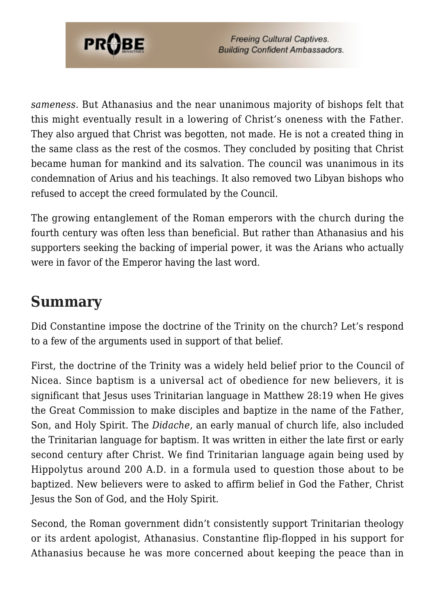

*sameness*. But Athanasius and the near unanimous majority of bishops felt that this might eventually result in a lowering of Christ's oneness with the Father. They also argued that Christ was begotten, not made. He is not a created thing in the same class as the rest of the cosmos. They concluded by positing that Christ became human for mankind and its salvation. The council was unanimous in its condemnation of Arius and his teachings. It also removed two Libyan bishops who refused to accept the creed formulated by the Council.

The growing entanglement of the Roman emperors with the church during the fourth century was often less than beneficial. But rather than Athanasius and his supporters seeking the backing of imperial power, it was the Arians who actually were in favor of the Emperor having the last word.

### **Summary**

Did Constantine impose the doctrine of the Trinity on the church? Let's respond to a few of the arguments used in support of that belief.

First, the doctrine of the Trinity was a widely held belief prior to the Council of Nicea. Since baptism is a universal act of obedience for new believers, it is significant that Jesus uses Trinitarian language in Matthew 28:19 when He gives the Great Commission to make disciples and baptize in the name of the Father, Son, and Holy Spirit. The *Didache*, an early manual of church life, also included the Trinitarian language for baptism. It was written in either the late first or early second century after Christ. We find Trinitarian language again being used by Hippolytus around 200 A.D. in a formula used to question those about to be baptized. New believers were to asked to affirm belief in God the Father, Christ Jesus the Son of God, and the Holy Spirit.

Second, the Roman government didn't consistently support Trinitarian theology or its ardent apologist, Athanasius. Constantine flip-flopped in his support for Athanasius because he was more concerned about keeping the peace than in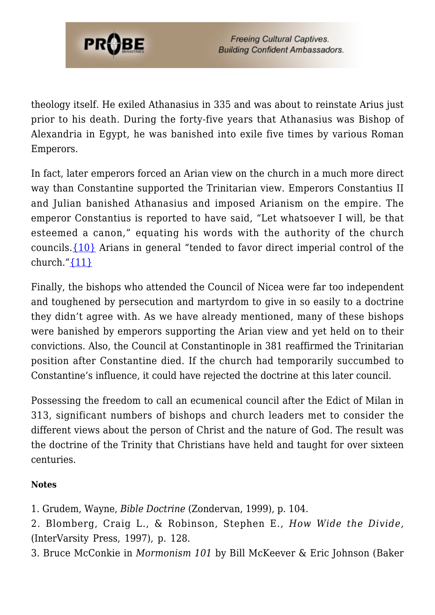

theology itself. He exiled Athanasius in 335 and was about to reinstate Arius just prior to his death. During the forty-five years that Athanasius was Bishop of Alexandria in Egypt, he was banished into exile five times by various Roman Emperors.

In fact, later emperors forced an Arian view on the church in a much more direct way than Constantine supported the Trinitarian view. Emperors Constantius II and Julian banished Athanasius and imposed Arianism on the empire. The emperor Constantius is reported to have said, "Let whatsoever I will, be that esteemed a canon," equating his words with the authority of the church councils.[{10}](#page--1-0) Arians in general "tended to favor direct imperial control of the church." $\{11\}$ 

Finally, the bishops who attended the Council of Nicea were far too independent and toughened by persecution and martyrdom to give in so easily to a doctrine they didn't agree with. As we have already mentioned, many of these bishops were banished by emperors supporting the Arian view and yet held on to their convictions. Also, the Council at Constantinople in 381 reaffirmed the Trinitarian position after Constantine died. If the church had temporarily succumbed to Constantine's influence, it could have rejected the doctrine at this later council.

Possessing the freedom to call an ecumenical council after the Edict of Milan in 313, significant numbers of bishops and church leaders met to consider the different views about the person of Christ and the nature of God. The result was the doctrine of the Trinity that Christians have held and taught for over sixteen centuries.

#### **Notes**

- 1. Grudem, Wayne, *Bible Doctrine* (Zondervan, 1999), p. 104.
- 2. Blomberg, Craig L., & Robinson, Stephen E., *How Wide the Divide,* (InterVarsity Press, 1997), p. 128.
- 3. Bruce McConkie in *Mormonism 101* by Bill McKeever & Eric Johnson (Baker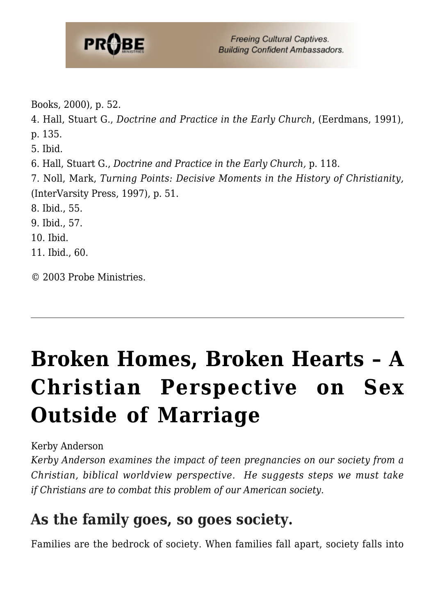

5. Ibid.

6. Hall, Stuart G., *Doctrine and Practice in the Early Church,* p. 118.

7. Noll, Mark, *Turning Points: Decisive Moments in the History of Christianity,* (InterVarsity Press, 1997), p. 51.

8. Ibid., 55.

9. Ibid., 57.

10. Ibid.

11. Ibid., 60.

© 2003 Probe Ministries.

# **[Broken Homes, Broken Hearts – A](https://probe.org/broken-homes-broken-hearts/) [Christian Perspective on Sex](https://probe.org/broken-homes-broken-hearts/) [Outside of Marriage](https://probe.org/broken-homes-broken-hearts/)**

Kerby Anderson

*Kerby Anderson examines the impact of teen pregnancies on our society from a Christian, biblical worldview perspective. He suggests steps we must take if Christians are to combat this problem of our American society.*

### **As the family goes, so goes society.**

Families are the bedrock of society. When families fall apart, society falls into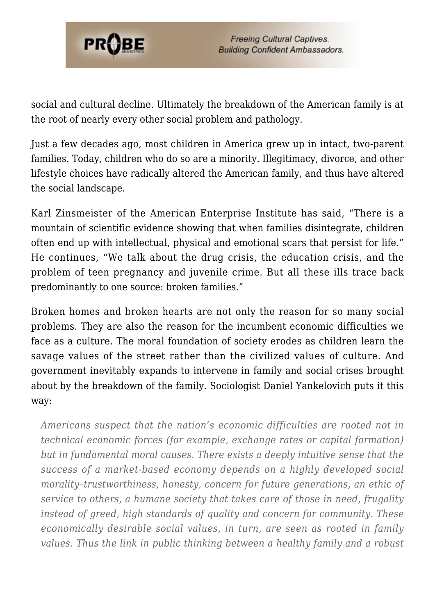

social and cultural decline. Ultimately the breakdown of the American family is at the root of nearly every other social problem and pathology.

Just a few decades ago, most children in America grew up in intact, two-parent families. Today, children who do so are a minority. Illegitimacy, divorce, and other lifestyle choices have radically altered the American family, and thus have altered the social landscape.

Karl Zinsmeister of the American Enterprise Institute has said, "There is a mountain of scientific evidence showing that when families disintegrate, children often end up with intellectual, physical and emotional scars that persist for life." He continues, "We talk about the drug crisis, the education crisis, and the problem of teen pregnancy and juvenile crime. But all these ills trace back predominantly to one source: broken families."

Broken homes and broken hearts are not only the reason for so many social problems. They are also the reason for the incumbent economic difficulties we face as a culture. The moral foundation of society erodes as children learn the savage values of the street rather than the civilized values of culture. And government inevitably expands to intervene in family and social crises brought about by the breakdown of the family. Sociologist Daniel Yankelovich puts it this way:

*Americans suspect that the nation's economic difficulties are rooted not in technical economic forces (for example, exchange rates or capital formation) but in fundamental moral causes. There exists a deeply intuitive sense that the success of a market-based economy depends on a highly developed social morality–trustworthiness, honesty, concern for future generations, an ethic of service to others, a humane society that takes care of those in need, frugality instead of greed, high standards of quality and concern for community. These economically desirable social values, in turn, are seen as rooted in family values. Thus the link in public thinking between a healthy family and a robust*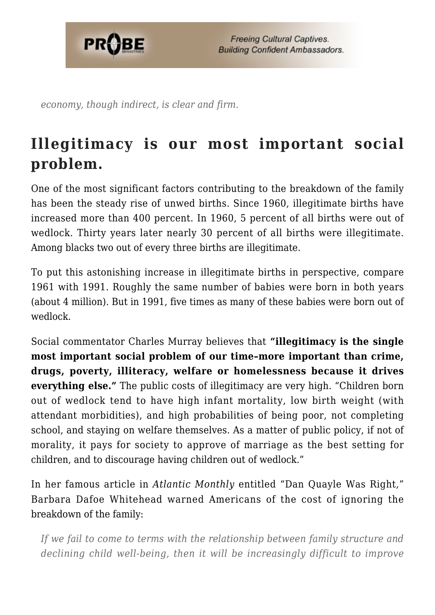

*economy, though indirect, is clear and firm.*

## **Illegitimacy is our most important social problem.**

One of the most significant factors contributing to the breakdown of the family has been the steady rise of unwed births. Since 1960, illegitimate births have increased more than 400 percent. In 1960, 5 percent of all births were out of wedlock. Thirty years later nearly 30 percent of all births were illegitimate. Among blacks two out of every three births are illegitimate.

To put this astonishing increase in illegitimate births in perspective, compare 1961 with 1991. Roughly the same number of babies were born in both years (about 4 million). But in 1991, five times as many of these babies were born out of wedlock.

Social commentator Charles Murray believes that **"illegitimacy is the single most important social problem of our time–more important than crime, drugs, poverty, illiteracy, welfare or homelessness because it drives everything else."** The public costs of illegitimacy are very high. "Children born out of wedlock tend to have high infant mortality, low birth weight (with attendant morbidities), and high probabilities of being poor, not completing school, and staying on welfare themselves. As a matter of public policy, if not of morality, it pays for society to approve of marriage as the best setting for children, and to discourage having children out of wedlock."

In her famous article in *Atlantic Monthly* entitled "Dan Quayle Was Right," Barbara Dafoe Whitehead warned Americans of the cost of ignoring the breakdown of the family:

*If we fail to come to terms with the relationship between family structure and declining child well-being, then it will be increasingly difficult to improve*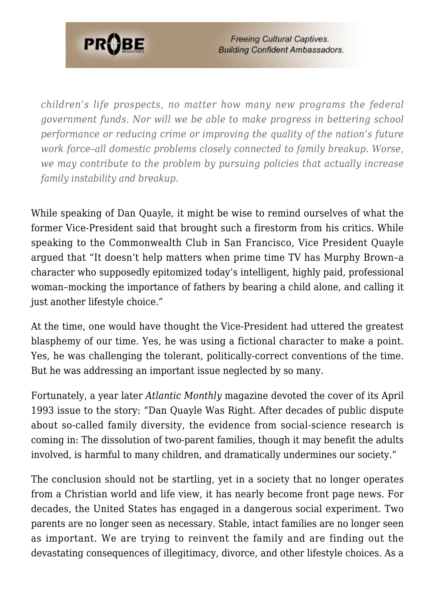

*children's life prospects, no matter how many new programs the federal government funds. Nor will we be able to make progress in bettering school performance or reducing crime or improving the quality of the nation's future work force–all domestic problems closely connected to family breakup. Worse, we may contribute to the problem by pursuing policies that actually increase family instability and breakup.*

While speaking of Dan Quayle, it might be wise to remind ourselves of what the former Vice-President said that brought such a firestorm from his critics. While speaking to the Commonwealth Club in San Francisco, Vice President Quayle argued that "It doesn't help matters when prime time TV has Murphy Brown–a character who supposedly epitomized today's intelligent, highly paid, professional woman–mocking the importance of fathers by bearing a child alone, and calling it just another lifestyle choice."

At the time, one would have thought the Vice-President had uttered the greatest blasphemy of our time. Yes, he was using a fictional character to make a point. Yes, he was challenging the tolerant, politically-correct conventions of the time. But he was addressing an important issue neglected by so many.

Fortunately, a year later *Atlantic Monthly* magazine devoted the cover of its April 1993 issue to the story: "Dan Quayle Was Right. After decades of public dispute about so-called family diversity, the evidence from social-science research is coming in: The dissolution of two-parent families, though it may benefit the adults involved, is harmful to many children, and dramatically undermines our society."

The conclusion should not be startling, yet in a society that no longer operates from a Christian world and life view, it has nearly become front page news. For decades, the United States has engaged in a dangerous social experiment. Two parents are no longer seen as necessary. Stable, intact families are no longer seen as important. We are trying to reinvent the family and are finding out the devastating consequences of illegitimacy, divorce, and other lifestyle choices. As a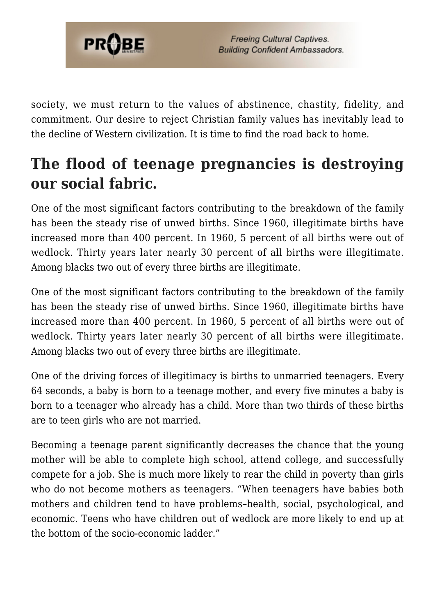

society, we must return to the values of abstinence, chastity, fidelity, and commitment. Our desire to reject Christian family values has inevitably lead to the decline of Western civilization. It is time to find the road back to home.

## **The flood of teenage pregnancies is destroying our social fabric.**

One of the most significant factors contributing to the breakdown of the family has been the steady rise of unwed births. Since 1960, illegitimate births have increased more than 400 percent. In 1960, 5 percent of all births were out of wedlock. Thirty years later nearly 30 percent of all births were illegitimate. Among blacks two out of every three births are illegitimate.

One of the most significant factors contributing to the breakdown of the family has been the steady rise of unwed births. Since 1960, illegitimate births have increased more than 400 percent. In 1960, 5 percent of all births were out of wedlock. Thirty years later nearly 30 percent of all births were illegitimate. Among blacks two out of every three births are illegitimate.

One of the driving forces of illegitimacy is births to unmarried teenagers. Every 64 seconds, a baby is born to a teenage mother, and every five minutes a baby is born to a teenager who already has a child. More than two thirds of these births are to teen girls who are not married.

Becoming a teenage parent significantly decreases the chance that the young mother will be able to complete high school, attend college, and successfully compete for a job. She is much more likely to rear the child in poverty than girls who do not become mothers as teenagers. "When teenagers have babies both mothers and children tend to have problems–health, social, psychological, and economic. Teens who have children out of wedlock are more likely to end up at the bottom of the socio-economic ladder."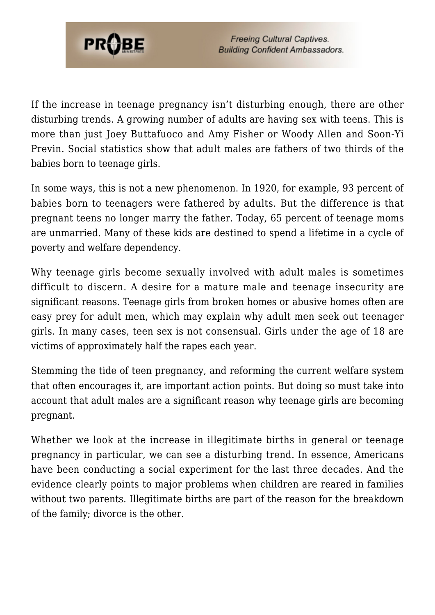

If the increase in teenage pregnancy isn't disturbing enough, there are other disturbing trends. A growing number of adults are having sex with teens. This is more than just Joey Buttafuoco and Amy Fisher or Woody Allen and Soon-Yi Previn. Social statistics show that adult males are fathers of two thirds of the babies born to teenage girls.

In some ways, this is not a new phenomenon. In 1920, for example, 93 percent of babies born to teenagers were fathered by adults. But the difference is that pregnant teens no longer marry the father. Today, 65 percent of teenage moms are unmarried. Many of these kids are destined to spend a lifetime in a cycle of poverty and welfare dependency.

Why teenage girls become sexually involved with adult males is sometimes difficult to discern. A desire for a mature male and teenage insecurity are significant reasons. Teenage girls from broken homes or abusive homes often are easy prey for adult men, which may explain why adult men seek out teenager girls. In many cases, teen sex is not consensual. Girls under the age of 18 are victims of approximately half the rapes each year.

Stemming the tide of teen pregnancy, and reforming the current welfare system that often encourages it, are important action points. But doing so must take into account that adult males are a significant reason why teenage girls are becoming pregnant.

Whether we look at the increase in illegitimate births in general or teenage pregnancy in particular, we can see a disturbing trend. In essence, Americans have been conducting a social experiment for the last three decades. And the evidence clearly points to major problems when children are reared in families without two parents. Illegitimate births are part of the reason for the breakdown of the family; divorce is the other.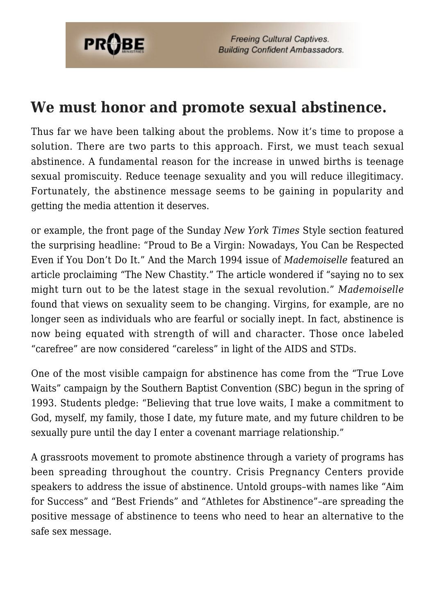

#### **We must honor and promote sexual abstinence.**

Thus far we have been talking about the problems. Now it's time to propose a solution. There are two parts to this approach. First, we must teach sexual abstinence. A fundamental reason for the increase in unwed births is teenage sexual promiscuity. Reduce teenage sexuality and you will reduce illegitimacy. Fortunately, the abstinence message seems to be gaining in popularity and getting the media attention it deserves.

or example, the front page of the Sunday *New York Times* Style section featured the surprising headline: "Proud to Be a Virgin: Nowadays, You Can be Respected Even if You Don't Do It." And the March 1994 issue of *Mademoiselle* featured an article proclaiming "The New Chastity." The article wondered if "saying no to sex might turn out to be the latest stage in the sexual revolution." *Mademoiselle* found that views on sexuality seem to be changing. Virgins, for example, are no longer seen as individuals who are fearful or socially inept. In fact, abstinence is now being equated with strength of will and character. Those once labeled "carefree" are now considered "careless" in light of the AIDS and STDs.

One of the most visible campaign for abstinence has come from the "True Love Waits" campaign by the Southern Baptist Convention (SBC) begun in the spring of 1993. Students pledge: "Believing that true love waits, I make a commitment to God, myself, my family, those I date, my future mate, and my future children to be sexually pure until the day I enter a covenant marriage relationship."

A grassroots movement to promote abstinence through a variety of programs has been spreading throughout the country. Crisis Pregnancy Centers provide speakers to address the issue of abstinence. Untold groups–with names like "Aim for Success" and "Best Friends" and "Athletes for Abstinence"–are spreading the positive message of abstinence to teens who need to hear an alternative to the safe sex message.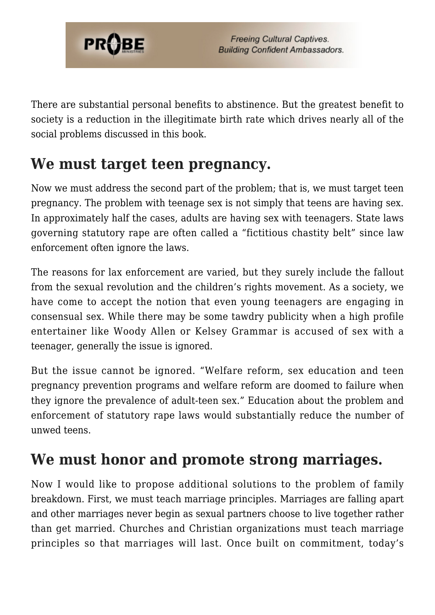

There are substantial personal benefits to abstinence. But the greatest benefit to society is a reduction in the illegitimate birth rate which drives nearly all of the social problems discussed in this book.

### **We must target teen pregnancy.**

Now we must address the second part of the problem; that is, we must target teen pregnancy. The problem with teenage sex is not simply that teens are having sex. In approximately half the cases, adults are having sex with teenagers. State laws governing statutory rape are often called a "fictitious chastity belt" since law enforcement often ignore the laws.

The reasons for lax enforcement are varied, but they surely include the fallout from the sexual revolution and the children's rights movement. As a society, we have come to accept the notion that even young teenagers are engaging in consensual sex. While there may be some tawdry publicity when a high profile entertainer like Woody Allen or Kelsey Grammar is accused of sex with a teenager, generally the issue is ignored.

But the issue cannot be ignored. "Welfare reform, sex education and teen pregnancy prevention programs and welfare reform are doomed to failure when they ignore the prevalence of adult-teen sex." Education about the problem and enforcement of statutory rape laws would substantially reduce the number of unwed teens.

## **We must honor and promote strong marriages.**

Now I would like to propose additional solutions to the problem of family breakdown. First, we must teach marriage principles. Marriages are falling apart and other marriages never begin as sexual partners choose to live together rather than get married. Churches and Christian organizations must teach marriage principles so that marriages will last. Once built on commitment, today's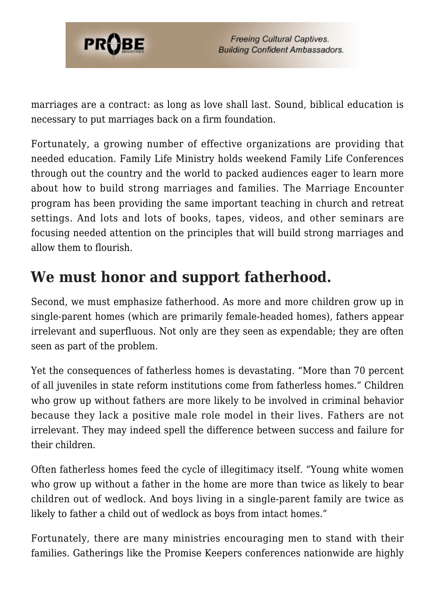

marriages are a contract: as long as love shall last. Sound, biblical education is necessary to put marriages back on a firm foundation.

Fortunately, a growing number of effective organizations are providing that needed education. Family Life Ministry holds weekend Family Life Conferences through out the country and the world to packed audiences eager to learn more about how to build strong marriages and families. The Marriage Encounter program has been providing the same important teaching in church and retreat settings. And lots and lots of books, tapes, videos, and other seminars are focusing needed attention on the principles that will build strong marriages and allow them to flourish.

### **We must honor and support fatherhood.**

Second, we must emphasize fatherhood. As more and more children grow up in single-parent homes (which are primarily female-headed homes), fathers appear irrelevant and superfluous. Not only are they seen as expendable; they are often seen as part of the problem.

Yet the consequences of fatherless homes is devastating. "More than 70 percent of all juveniles in state reform institutions come from fatherless homes." Children who grow up without fathers are more likely to be involved in criminal behavior because they lack a positive male role model in their lives. Fathers are not irrelevant. They may indeed spell the difference between success and failure for their children.

Often fatherless homes feed the cycle of illegitimacy itself. "Young white women who grow up without a father in the home are more than twice as likely to bear children out of wedlock. And boys living in a single-parent family are twice as likely to father a child out of wedlock as boys from intact homes."

Fortunately, there are many ministries encouraging men to stand with their families. Gatherings like the Promise Keepers conferences nationwide are highly